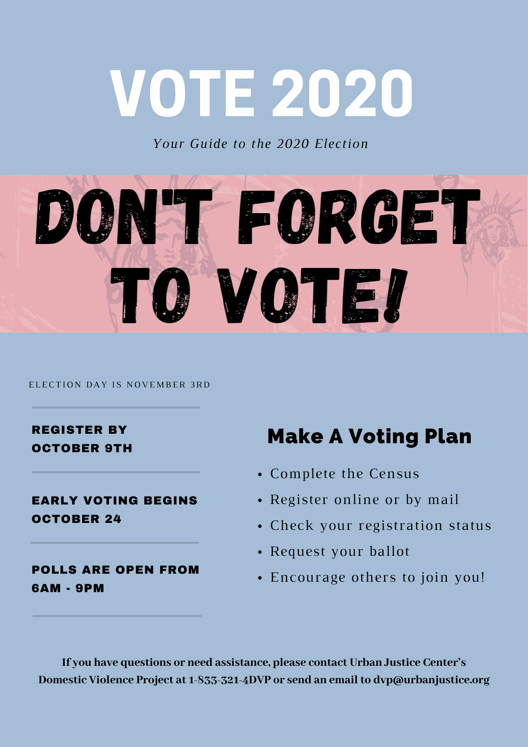## VOTE 2020

*Your Guide to the 2020 Election*



ELECTION DAY IS NOVEMBER 3RD

REGISTER BY OCTOBER 9TH

EARLY VOTING BEGINS OCTOBER 24

POLLS ARE OPEN FROM 6AM - 9PM

### Make A Voting Plan

- Complete the Census
- Register online or by mail
- Check your registration status
- Request your ballot
- Encourage others to join you!

**If you have questions or need assistance, please contact Urban Justice Center's Domestic Violence Project at 1-833-321-4DVP or send an email to dvp@urbanjustice.org**